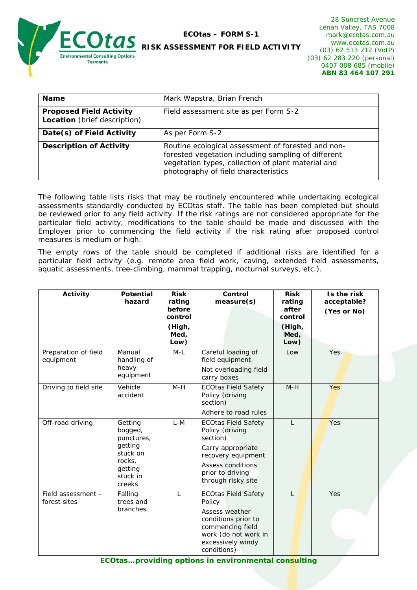

## **ECO***tas* **– FORM S-1**

## **RISK ASSESSMENT FOR FIELD ACTIVITY**

28 Suncrest Avenue Lenah Valley, TAS 7008 mark@ecotas.com.au www.ecotas.com.au (03) 62 513 212 (VoIP) (03) 62 283 220 (personal) 0407 008 685 (mobile) **ABN 83 464 107 291** 

| <b>Name</b>                                                    | Mark Wapstra, Brian French                                                                                                                                                                              |  |  |  |
|----------------------------------------------------------------|---------------------------------------------------------------------------------------------------------------------------------------------------------------------------------------------------------|--|--|--|
| <b>Proposed Field Activity</b><br>Location (brief description) | Field assessment site as per Form S-2                                                                                                                                                                   |  |  |  |
| Date(s) of Field Activity                                      | As per Form S-2                                                                                                                                                                                         |  |  |  |
| <b>Description of Activity</b>                                 | Routine ecological assessment of forested and non-<br>forested vegetation including sampling of different<br>vegetation types, collection of plant material and<br>photography of field characteristics |  |  |  |

The following table lists risks that may be routinely encountered while undertaking ecological assessments standardly conducted by ECO*tas* staff. The table has been completed but should be reviewed prior to any field activity. If the risk ratings are not considered appropriate for the particular field activity, modifications to the table should be made and discussed with the Employer prior to commencing the field activity if the risk rating after proposed control measures is medium or high.

The empty rows of the table should be completed if additional risks are identified for a particular field activity (e.g. remote area field work, caving, extended field assessments, aquatic assessments, tree-climbing, mammal trapping, nocturnal surveys, etc.).

| Activity                           | <b>Potential</b><br>hazard                                                                         | <b>Risk</b><br>rating<br>before<br>control<br>(High,<br>Med,<br>Low) | Control<br>measure(s)                                                                                                                                               | <b>Risk</b><br>rating<br>after<br>control<br>(High,<br>Med,<br>Low) | Is the risk<br>acceptable?<br>(Yes or No) |
|------------------------------------|----------------------------------------------------------------------------------------------------|----------------------------------------------------------------------|---------------------------------------------------------------------------------------------------------------------------------------------------------------------|---------------------------------------------------------------------|-------------------------------------------|
| Preparation of field<br>equipment  | Manual<br>handling of<br>heavy<br>equipment                                                        | $M-L$                                                                | Careful loading of<br>field equipment<br>Not overloading field<br>carry boxes                                                                                       | Low                                                                 | Yes                                       |
| Driving to field site              | Vehicle<br>accident                                                                                | $M-H$                                                                | <b>ECOtas Field Safety</b><br>Policy (driving<br>section)<br>Adhere to road rules                                                                                   | $M-H$                                                               | Yes                                       |
| Off-road driving                   | Getting<br>bogged,<br>punctures,<br>getting<br>stuck on<br>rocks,<br>getting<br>stuck in<br>creeks | $L-M$                                                                | <b>ECOtas Field Safety</b><br>Policy (driving<br>section)<br>Carry appropriate<br>recovery equipment<br>Assess conditions<br>prior to driving<br>through risky site | L                                                                   | Yes                                       |
| Field assessment -<br>forest sites | Falling<br>trees and<br>branches                                                                   | $\mathsf{L}$                                                         | <b>ECOtas Field Safety</b><br>Policy<br>Assess weather<br>conditions prior to<br>commencing field<br>work (do not work in<br>excessively windy<br>conditions)       | L                                                                   | <b>Yes</b>                                |

*ECOtas…providing options in environmental consulting*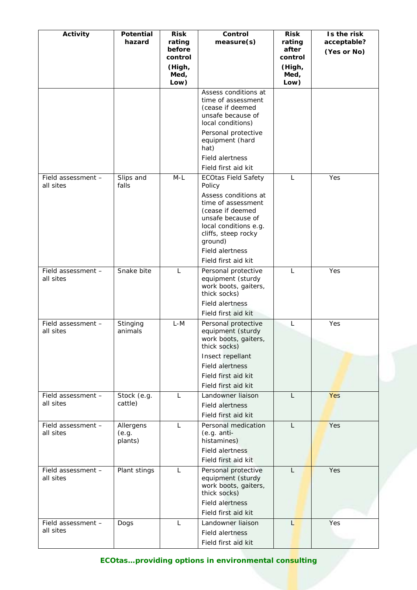| <b>Activity</b>                 | <b>Potential</b><br>hazard    | <b>Risk</b><br>rating<br>before<br>control<br>(High,<br>Med,<br>Low) | Control<br>measure(s)                                                                                                                                                                                                            | <b>Risk</b><br>rating<br>after<br>control<br>(High,<br>Med,<br>Low) | Is the risk<br>acceptable?<br>(Yes or No) |
|---------------------------------|-------------------------------|----------------------------------------------------------------------|----------------------------------------------------------------------------------------------------------------------------------------------------------------------------------------------------------------------------------|---------------------------------------------------------------------|-------------------------------------------|
|                                 |                               |                                                                      | Assess conditions at<br>time of assessment<br>(cease if deemed<br>unsafe because of<br>local conditions)                                                                                                                         |                                                                     |                                           |
|                                 |                               |                                                                      | Personal protective<br>equipment (hard<br>hat)<br><b>Field alertness</b><br>Field first aid kit                                                                                                                                  |                                                                     |                                           |
| Field assessment -<br>all sites | Slips and<br>falls            | $M-L$                                                                | <b>ECOtas Field Safety</b><br>Policy<br>Assess conditions at<br>time of assessment<br>(cease if deemed<br>unsafe because of<br>local conditions e.g.<br>cliffs, steep rocky<br>ground)<br>Field alertness<br>Field first aid kit | L                                                                   | Yes                                       |
| Field assessment -<br>all sites | Snake bite                    | $\mathsf{L}$                                                         | Personal protective<br>equipment (sturdy<br>work boots, gaiters,<br>thick socks)<br><b>Field alertness</b><br>Field first aid kit                                                                                                | L                                                                   | Yes                                       |
| Field assessment -<br>all sites | Stinging<br>animals           | $L-M$                                                                | Personal protective<br>equipment (sturdy<br>work boots, gaiters,<br>thick socks)<br>Insect repellant<br><b>Field alertness</b><br>Field first aid kit<br>Field first aid kit                                                     | L                                                                   | Yes                                       |
| Field assessment -<br>all sites | Stock (e.g.<br>cattle)        | L                                                                    | Landowner liaison<br><b>Field alertness</b><br>Field first aid kit                                                                                                                                                               | L                                                                   | <b>Yes</b>                                |
| Field assessment -<br>all sites | Allergens<br>(e.g.<br>plants) | L                                                                    | Personal medication<br>(e.g. anti-<br>histamines)<br><b>Field alertness</b><br>Field first aid kit                                                                                                                               | L                                                                   | Yes                                       |
| Field assessment -<br>all sites | Plant stings                  | L                                                                    | Personal protective<br>equipment (sturdy<br>work boots, gaiters,<br>thick socks)<br><b>Field alertness</b><br>Field first aid kit                                                                                                | L                                                                   | <b>Yes</b>                                |
| Field assessment -<br>all sites | Dogs                          | L                                                                    | Landowner liaison<br><b>Field alertness</b><br>Field first aid kit                                                                                                                                                               | L                                                                   | Yes                                       |

*ECOtas…providing options in environmental consulting*